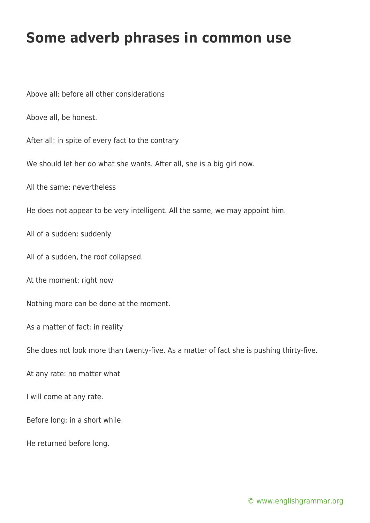## **Some adverb phrases in common use**

Above all: before all other considerations

Above all, be honest.

After all: in spite of every fact to the contrary

We should let her do what she wants. After all, she is a big girl now.

All the same: nevertheless

He does not appear to be very intelligent. All the same, we may appoint him.

All of a sudden: suddenly

All of a sudden, the roof collapsed.

At the moment: right now

Nothing more can be done at the moment.

As a matter of fact: in reality

She does not look more than twenty-five. As a matter of fact she is pushing thirty-five.

At any rate: no matter what

I will come at any rate.

Before long: in a short while

He returned before long.